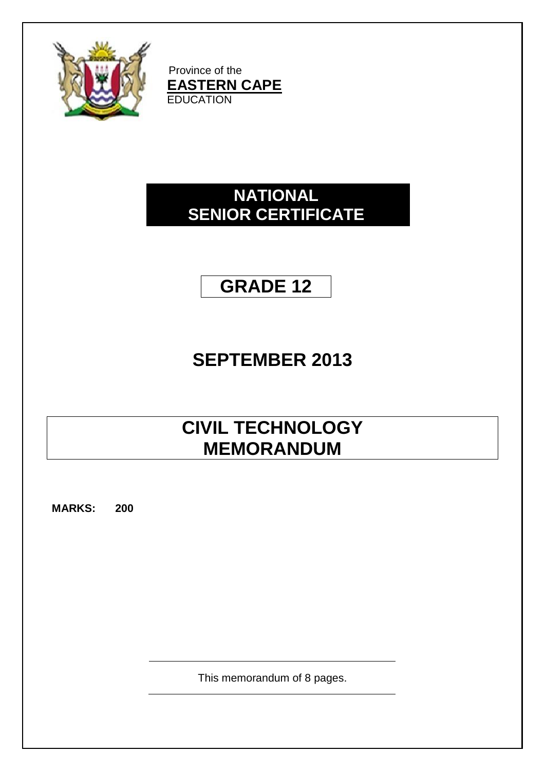

Province of the **EASTERN CAPE EDUCATION** 

## **NATIONAL SENIOR CERTIFICATE**

# **GRADE 12**

## **SEPTEMBER 2013**

## **CIVIL TECHNOLOGY MEMORANDUM**

**MARKS: 200**

This memorandum of 8 pages.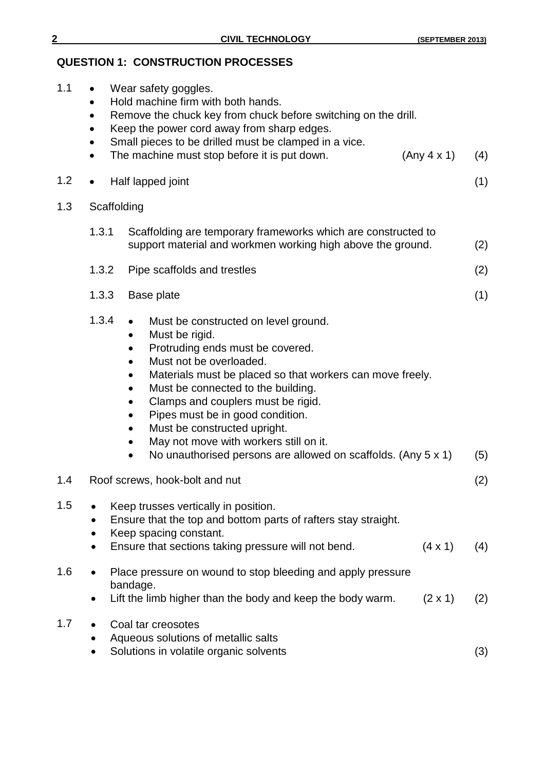### **QUESTION 1: CONSTRUCTION PROCESSES**

| 1.1     | $\bullet$<br>$\bullet$<br>$\bullet$<br>$\bullet$<br>$\bullet$ | Wear safety goggles.<br>Hold machine firm with both hands.<br>Remove the chuck key from chuck before switching on the drill.<br>Keep the power cord away from sharp edges.<br>Small pieces to be drilled must be clamped in a vice.<br>The machine must stop before it is put down.                                                                                                                                                                                                               | (Any 4 x 1)    | (4) |
|---------|---------------------------------------------------------------|---------------------------------------------------------------------------------------------------------------------------------------------------------------------------------------------------------------------------------------------------------------------------------------------------------------------------------------------------------------------------------------------------------------------------------------------------------------------------------------------------|----------------|-----|
| 1.2     | $\bullet$                                                     | Half lapped joint                                                                                                                                                                                                                                                                                                                                                                                                                                                                                 |                | (1) |
| 1.3     | Scaffolding                                                   |                                                                                                                                                                                                                                                                                                                                                                                                                                                                                                   |                |     |
|         | 1.3.1                                                         | Scaffolding are temporary frameworks which are constructed to<br>support material and workmen working high above the ground.                                                                                                                                                                                                                                                                                                                                                                      |                | (2) |
|         | 1.3.2                                                         | Pipe scaffolds and trestles                                                                                                                                                                                                                                                                                                                                                                                                                                                                       |                | (2) |
|         | 1.3.3                                                         | Base plate                                                                                                                                                                                                                                                                                                                                                                                                                                                                                        |                | (1) |
|         | 1.3.4                                                         | Must be constructed on level ground.<br>Must be rigid.<br>$\bullet$<br>Protruding ends must be covered.<br>Must not be overloaded.<br>Materials must be placed so that workers can move freely.<br>$\bullet$<br>Must be connected to the building.<br>Clamps and couplers must be rigid.<br>Pipes must be in good condition.<br>Must be constructed upright.<br>$\bullet$<br>May not move with workers still on it.<br>$\bullet$<br>No unauthorised persons are allowed on scaffolds. (Any 5 x 1) |                | (5) |
| 1.4     |                                                               | Roof screws, hook-bolt and nut                                                                                                                                                                                                                                                                                                                                                                                                                                                                    |                | (2) |
| 1.5     | $\bullet$                                                     | Keep trusses vertically in position.<br>Ensure that the top and bottom parts of rafters stay straight.<br>Keep spacing constant.<br>Ensure that sections taking pressure will not bend.                                                                                                                                                                                                                                                                                                           | $(4 \times 1)$ | (4) |
| $1.6\,$ | $\bullet$                                                     | Place pressure on wound to stop bleeding and apply pressure<br>bandage.<br>Lift the limb higher than the body and keep the body warm.                                                                                                                                                                                                                                                                                                                                                             | $(2 \times 1)$ | (2) |
| 1.7     |                                                               | Coal tar creosotes<br>Aqueous solutions of metallic salts<br>Solutions in volatile organic solvents                                                                                                                                                                                                                                                                                                                                                                                               |                | (3) |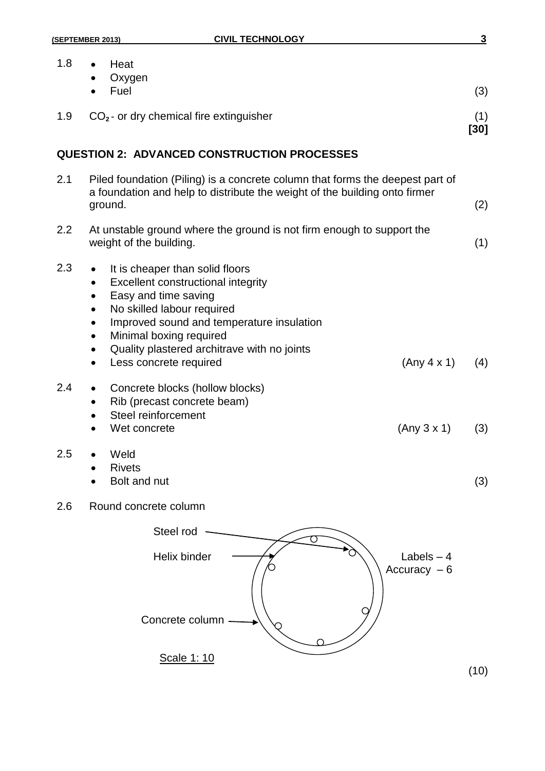| 1.8 | Heat<br>Oxygen<br>Fuel                                                                                                                                                                                                                                                                                                                                                                              | (3)           |
|-----|-----------------------------------------------------------------------------------------------------------------------------------------------------------------------------------------------------------------------------------------------------------------------------------------------------------------------------------------------------------------------------------------------------|---------------|
| 1.9 | $CO2$ - or dry chemical fire extinguisher                                                                                                                                                                                                                                                                                                                                                           | (1)<br>$[30]$ |
|     | <b>QUESTION 2: ADVANCED CONSTRUCTION PROCESSES</b>                                                                                                                                                                                                                                                                                                                                                  |               |
| 2.1 | Piled foundation (Piling) is a concrete column that forms the deepest part of<br>a foundation and help to distribute the weight of the building onto firmer<br>ground.                                                                                                                                                                                                                              | (2)           |
| 2.2 | At unstable ground where the ground is not firm enough to support the<br>weight of the building.                                                                                                                                                                                                                                                                                                    | (1)           |
| 2.3 | It is cheaper than solid floors<br>$\bullet$<br>Excellent constructional integrity<br>$\bullet$<br>Easy and time saving<br>$\bullet$<br>No skilled labour required<br>$\bullet$<br>Improved sound and temperature insulation<br>$\bullet$<br>Minimal boxing required<br>$\bullet$<br>Quality plastered architrave with no joints<br>$\bullet$<br>(Any 4 x 1)<br>Less concrete required<br>$\bullet$ | (4)           |
| 2.4 | Concrete blocks (hollow blocks)<br>$\bullet$<br>Rib (precast concrete beam)<br>٠<br>Steel reinforcement<br>$\bullet$<br>(Any 3 x 1)<br>Wet concrete                                                                                                                                                                                                                                                 | (3)           |
| 2.5 | Weld<br><b>Rivets</b><br>Bolt and nut                                                                                                                                                                                                                                                                                                                                                               | (3)           |
| 2.6 | Round concrete column                                                                                                                                                                                                                                                                                                                                                                               |               |
|     | Steel rod                                                                                                                                                                                                                                                                                                                                                                                           |               |
|     | Helix binder<br>Labels $-4$<br>Accuracy $-6$<br>Concrete column                                                                                                                                                                                                                                                                                                                                     |               |
|     | Scale 1: 10                                                                                                                                                                                                                                                                                                                                                                                         | (10)          |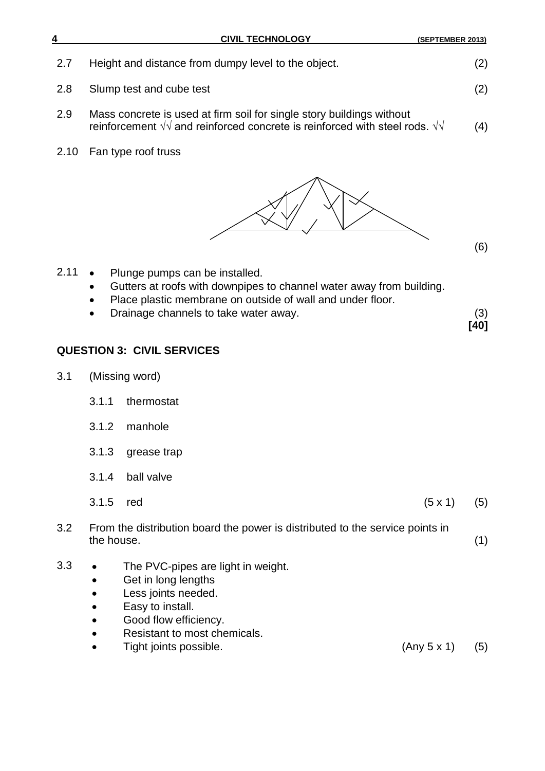| 4    | <b>CIVIL TECHNOLOGY</b>                                                                                                                                                                                                    | (SEPTEMBER 2013)      |
|------|----------------------------------------------------------------------------------------------------------------------------------------------------------------------------------------------------------------------------|-----------------------|
| 2.7  | Height and distance from dumpy level to the object.                                                                                                                                                                        | (2)                   |
| 2.8  | Slump test and cube test                                                                                                                                                                                                   | (2)                   |
| 2.9  | Mass concrete is used at firm soil for single story buildings without<br>reinforcement $\sqrt{v}$ and reinforced concrete is reinforced with steel rods. $\sqrt{v}$                                                        | (4)                   |
| 2.10 | Fan type roof truss                                                                                                                                                                                                        |                       |
|      |                                                                                                                                                                                                                            | (6)                   |
| 2.11 | Plunge pumps can be installed.<br>Gutters at roofs with downpipes to channel water away from building.<br>Place plastic membrane on outside of wall and under floor.<br>Drainage channels to take water away.<br>$\bullet$ | (3)<br>[40]           |
|      | <b>QUESTION 3: CIVIL SERVICES</b>                                                                                                                                                                                          |                       |
| 3.1  | (Missing word)                                                                                                                                                                                                             |                       |
|      | thermostat<br>3.1.1                                                                                                                                                                                                        |                       |
|      | 3.1.2<br>manhole                                                                                                                                                                                                           |                       |
|      | 3.1.3<br>grease trap                                                                                                                                                                                                       |                       |
|      | ball valve<br>3.1.4                                                                                                                                                                                                        |                       |
|      | 3.1.5<br>red                                                                                                                                                                                                               | $(5 \times 1)$<br>(5) |
| 3.2  | From the distribution board the power is distributed to the service points in<br>the house.                                                                                                                                | (1)                   |
| 3.3  | The PVC-pipes are light in weight.<br>Get in long lengths<br>Less joints needed.<br>Easy to install.<br>Good flow efficiency.<br>Resistant to most chemicals.<br>Tight joints possible.                                    | (Any 5 x 1)<br>(5)    |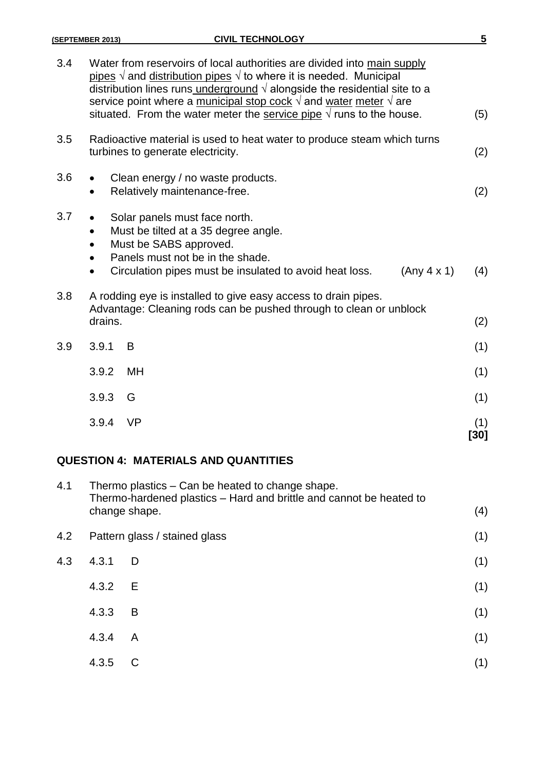|     | (SEPTEMBER 2013) | <b>CIVIL TECHNOLOGY</b>                                                                                                                                                                                                                                                                                                                                                                                                      | $5\phantom{.0}$ |
|-----|------------------|------------------------------------------------------------------------------------------------------------------------------------------------------------------------------------------------------------------------------------------------------------------------------------------------------------------------------------------------------------------------------------------------------------------------------|-----------------|
| 3.4 |                  | Water from reservoirs of local authorities are divided into main supply<br>pipes $\sqrt{ }$ and distribution pipes $\sqrt{ }$ to where it is needed. Municipal<br>distribution lines runs underground $\sqrt{ }$ alongside the residential site to a<br>service point where a municipal stop cock $\sqrt{ }$ and water meter $\sqrt{ }$ are<br>situated. From the water meter the service pipe $\sqrt{ }$ runs to the house. | (5)             |
| 3.5 |                  | Radioactive material is used to heat water to produce steam which turns<br>turbines to generate electricity.                                                                                                                                                                                                                                                                                                                 | (2)             |
| 3.6 |                  | Clean energy / no waste products.<br>Relatively maintenance-free.                                                                                                                                                                                                                                                                                                                                                            | (2)             |
| 3.7 |                  | Solar panels must face north.<br>Must be tilted at a 35 degree angle.<br>Must be SABS approved.<br>Panels must not be in the shade.<br>Circulation pipes must be insulated to avoid heat loss.<br>(Any 4 x 1)                                                                                                                                                                                                                | (4)             |
| 3.8 | drains.          | A rodding eye is installed to give easy access to drain pipes.<br>Advantage: Cleaning rods can be pushed through to clean or unblock                                                                                                                                                                                                                                                                                         | (2)             |
| 3.9 | 3.9.1            | B                                                                                                                                                                                                                                                                                                                                                                                                                            | (1)             |
|     | 3.9.2            | <b>MH</b>                                                                                                                                                                                                                                                                                                                                                                                                                    | (1)             |
|     | 3.9.3            | G                                                                                                                                                                                                                                                                                                                                                                                                                            | (1)             |
|     | 3.9.4            | <b>VP</b>                                                                                                                                                                                                                                                                                                                                                                                                                    | (1)<br>[30]     |

### **QUESTION 4: MATERIALS AND QUANTITIES**

| 4.1 | Thermo plastics – Can be heated to change shape.<br>Thermo-hardened plastics - Hard and brittle and cannot be heated to |                               |     |
|-----|-------------------------------------------------------------------------------------------------------------------------|-------------------------------|-----|
|     | change shape.                                                                                                           |                               | (4) |
| 4.2 |                                                                                                                         | Pattern glass / stained glass | (1) |
| 4.3 | 4.3.1                                                                                                                   | $\Box$                        | (1) |
|     | 4.3.2                                                                                                                   | E.                            | (1) |
|     | 4.3.3                                                                                                                   | B                             | (1) |
|     | 4.3.4                                                                                                                   | $\mathsf{A}$                  | (1) |
|     | 4.3.5                                                                                                                   |                               | (1) |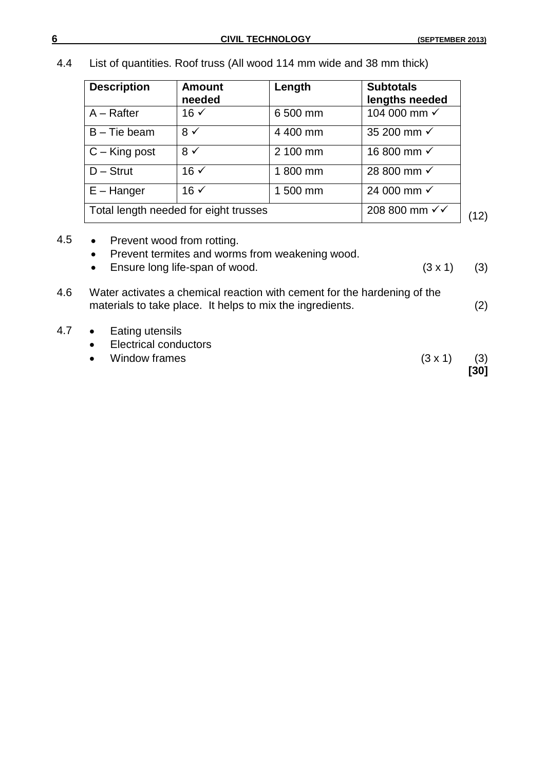4.4 List of quantities. Roof truss (All wood 114 mm wide and 38 mm thick)

| <b>Description</b>                    | <b>Amount</b><br>needed | Length   | <b>Subtotals</b><br>lengths needed |      |
|---------------------------------------|-------------------------|----------|------------------------------------|------|
| $A -$ Rafter                          | $16 \checkmark$         | 6 500 mm | 104 000 mm √                       |      |
| $B$ – Tie beam                        | $8 \checkmark$          | 4 400 mm | 35 200 mm √                        |      |
| $C - King$ post                       | $8 \checkmark$          | 2 100 mm | 16 800 mm √                        |      |
| $D -$ Strut                           | $16 \checkmark$         | 1800 mm  | 28 800 mm √                        |      |
| $E - H$ anger                         | $16 \checkmark$         | 1 500 mm | 24 000 mm √                        |      |
| Total length needed for eight trusses |                         |          | 208 800 mm √√                      | (12) |

- 4.5 Prevent wood from rotting.
	- Prevent termites and worms from weakening wood.
	- Ensure long life-span of wood.  $(3 \times 1)$  (3)

| 4.6 | Water activates a chemical reaction with cement for the hardening of the<br>materials to take place. It helps to mix the ingredients. | (2) |
|-----|---------------------------------------------------------------------------------------------------------------------------------------|-----|
| 4.7 | Eating utensils<br>$\bullet$                                                                                                          |     |

- Electrical conductors
- Window frames  $(3 \times 1)$  (3) **[30]**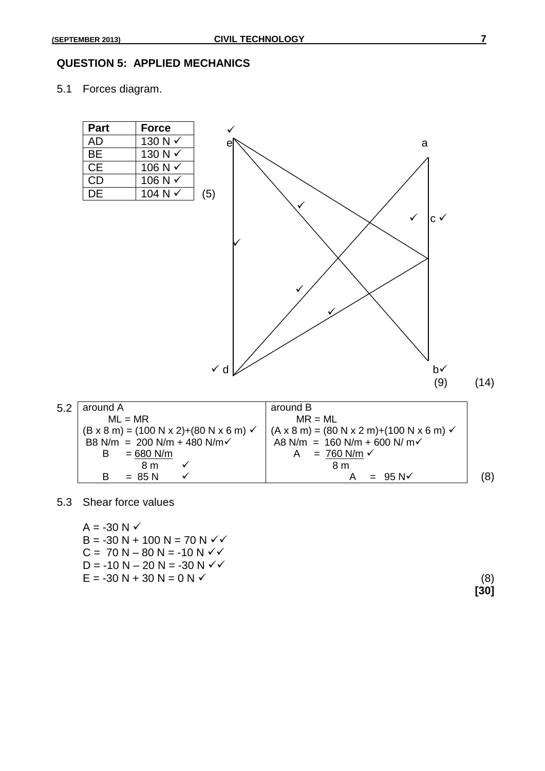#### **QUESTION 5: APPLIED MECHANICS**

5.1 Forces diagram.



#### 5.3 Shear force values

| $A = -30 N \checkmark$              |     |
|-------------------------------------|-----|
| $B = -30 N + 100 N = 70 N \sqrt{6}$ |     |
| $C = 70 N - 80 N = -10 N \sqrt{6}$  |     |
| $D = -10 N - 20 N = -30 N \sqrt{6}$ |     |
| $E = -30 N + 30 N = 0 N V$          | (8) |

**[30]**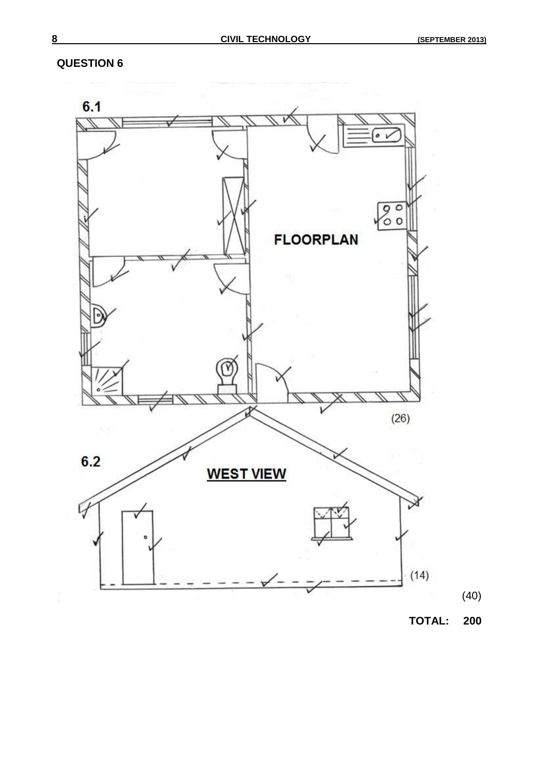#### **QUESTION 6**



**TOTAL: 200**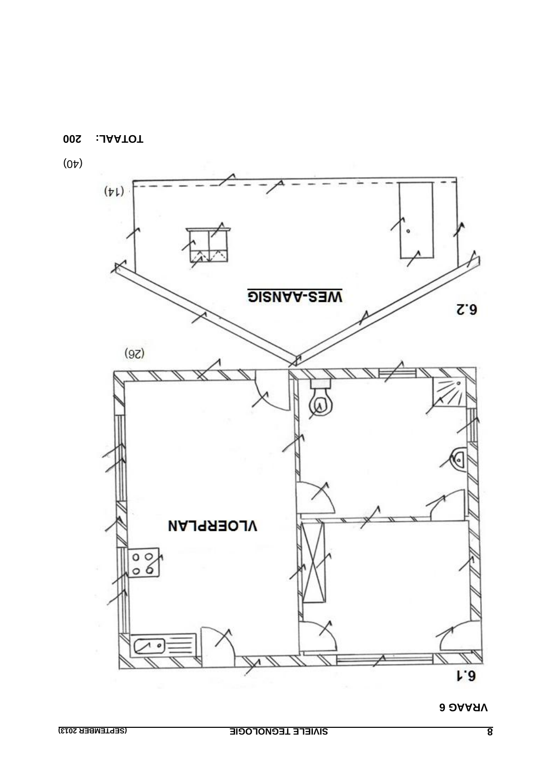



**002 :JAATOT** 

 $(0)$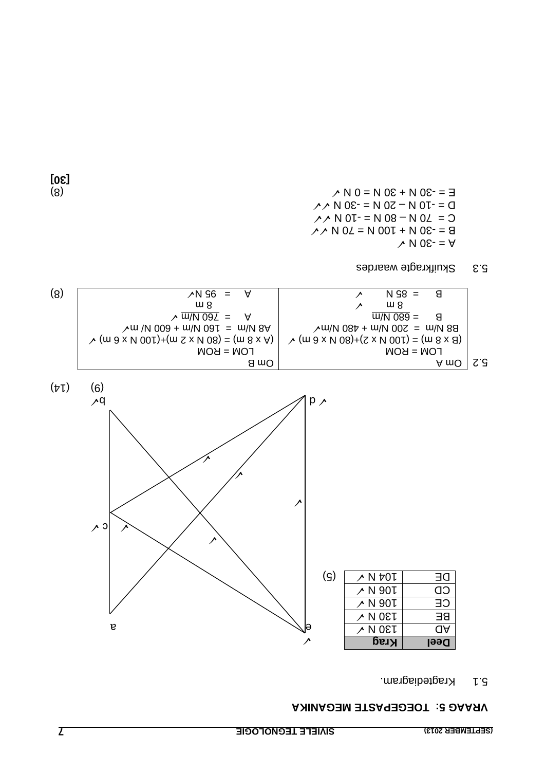#### **VRAAG 5: TOEGEPASTE MEGANIKA**

5.1 Kragtediagram.



Skuifkragte waardes 5.3

 $\angle$  N 98 = 8

 $\vee$  N 0  $\epsilon$ -  $=$   $\forall$  $\angle A \land N$  02 = N 00  $\angle I + N$  08 - = 8  $\gamma$  N 0  $\mu$  = N 08 – N 04 = 0  $N \wedge N$  0 0  $N = N$  0  $N - N$  0  $N - N$ (8)  $\wedge N = N$  0 =  $N \times 30$   $N = N$  0 =  $N \times 10^{-10}$   $N \times 10^{-10}$   $N \times 10^{-10}$ 

**[30]**

(8)  $\vee$  A  $\vee$  A  $\vee$  A  $\vee$  B  $\vee$  A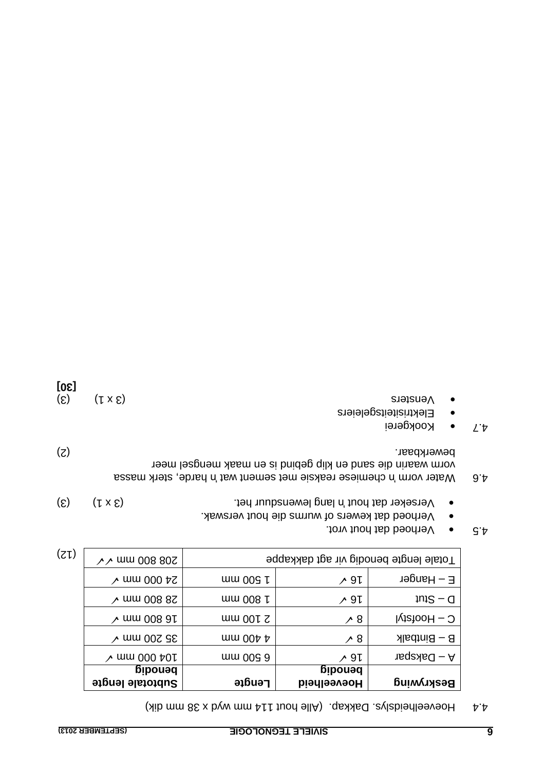$A \cdot A$  Hoeveelheidslys. Dakkap. (Alle hout 111 mm  $A \times B$  who dik)

| $\sim$ mm 008 802                 | Fotale lengte benodig vir agt dakkappe |                               |                   |  |
|-----------------------------------|----------------------------------------|-------------------------------|-------------------|--|
| $\lambda$ mm 000 $\mu$ S          | $\frac{1}{2}$ 009 k                    | ∕ 91                          | $E - H$ anger     |  |
| $\lambda$ mm 008 82               | mm 008 h                               | ∕ 91                          | $10 - 5$ tut      |  |
| $\lambda$ mm 008 at               | $mm$ 001 $\Omega$                      | ∕ 8                           | $C -$ Hoofstyl    |  |
| $\lambda$ mm 002 GS               | $\frac{1}{2}$ with $\frac{1}{2}$       | $\lambda$ 8                   | $B - B$ intbalk   |  |
| $\lambda$ mm 000 $\mu$ 01         | mm 00g 9                               | ∕ 9↓                          | $A - Daks$        |  |
| <b>Devoup</b><br>Subtotale lengte | <b>Lengte</b>                          | penodig<br><b>Hoeveelheid</b> | <b>Beskrywing</b> |  |

 $(2)$ 

- $A$ . **6.** Verhoed dat hout vrot.
- Verhoed dat kewers of wurms die hout verswak.
- $\bullet$  Verseker dat hout in lang lewensduur het.  $(3 \times 1)$  (3)
- 4.6 Water vorm 'n chemiese reaksie met sement wat in harde, sterk massa vorm waarin die sand en klip gebind is en maak mengsel meer (2) bewerkbaar.
- 4.7 · Kookgerei
- Elektrisiteitsgeleiers
- 
- (5)  $(1 \times 5)$  states (6) **[30]**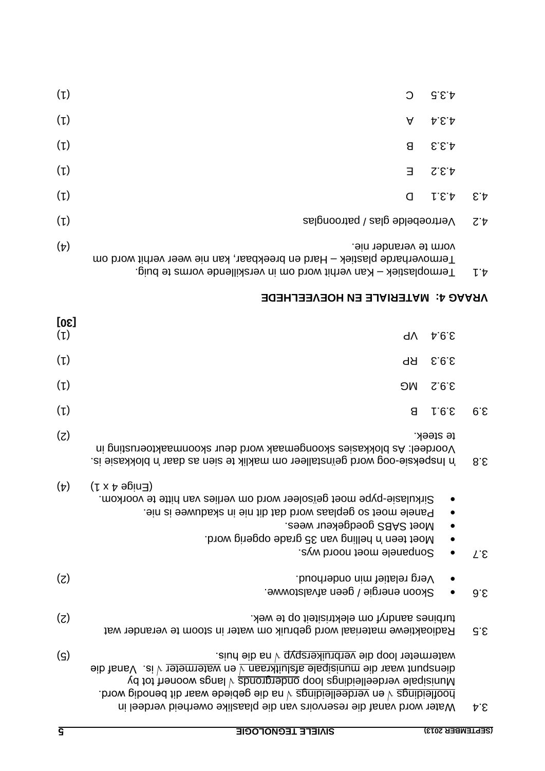|                            | Termoplastiek – Kan verhit word om in verskillende vorms te buig.                                                                                                                                                                                                                                                                                                                | $L^{\dagger}$   |
|----------------------------|----------------------------------------------------------------------------------------------------------------------------------------------------------------------------------------------------------------------------------------------------------------------------------------------------------------------------------------------------------------------------------|-----------------|
|                            | VRAAG 4: MATERIALE EN HOEVEELHEDE                                                                                                                                                                                                                                                                                                                                                |                 |
| [30]<br>$(\iota)$          | d <sup>^</sup><br>4.9.5                                                                                                                                                                                                                                                                                                                                                          |                 |
| (L)                        | 5.9.5<br>ЬЬ                                                                                                                                                                                                                                                                                                                                                                      |                 |
| (L)                        | 2.9.2<br><b>DW</b>                                                                                                                                                                                                                                                                                                                                                               |                 |
| $(\iota)$                  | 8<br>1.6.5                                                                                                                                                                                                                                                                                                                                                                       | 6.5             |
| (5)                        | te steek.<br>Voordeel: As blokkasies skoongemaak word deur skoonmaaktoerusting in<br>'a lnspeksie-oog word geïnstalleer om maklik te sien as daar 'n blokkasie is.                                                                                                                                                                                                               | $8.\epsilon$    |
| $(\nabla)$                 | $(5 \times 4 \text{ eV})$<br>Sirkulasie-pype moet geïsoleer word om verlies van hitte te voorkom.<br>Panele moet so geplaas word dat dit nie in skaduwee is nie.<br>Moet SABS goedgekeur wees.<br>Moet teen 'n helling van 35 grade opgerig word.<br>Sonpanele moet noord wys.                                                                                                   | L.E             |
| (5)                        | Verg relatief min onderhoud.<br>Skoon energie / geen afvalstowwe.                                                                                                                                                                                                                                                                                                                | 9.5             |
| (5)                        | turbines aandryf om elektrisiteit op te wek.<br>Radioaktiewe materiaal word gebruik om water in stoom te verander wat                                                                                                                                                                                                                                                            | $G.\mathcal{E}$ |
| $\left( \mathsf{S}\right)$ | watermeter loop die verbruikerspyp v na die huis.<br>$\frac{1}{2}$ enspunt waar die munisipale afsluitkraan v en watermeter v is. Vanaf die<br>Vd tot herdeelleidings qool agnibielleebow alsqicuuM<br>boofleidings $\sqrt{6}$ en verdeelleidings $\sqrt{6}$ and $\sqrt{6}$ above and the penodig word.<br>Water word vanaf die reservoirs van die plaaslike owerheid verdeel in | Þ.ε             |
| $\overline{\mathsf{S}}$    | <b>SIVIELE TEGNOLOGIE</b><br>(SEPTEMBER 2013)                                                                                                                                                                                                                                                                                                                                    |                 |

|               | G.E.P | C                                                                                                | $(\iota)$  |
|---------------|-------|--------------------------------------------------------------------------------------------------|------------|
|               | A.B.A | A                                                                                                | $(\iota)$  |
|               | f.3.3 | 8                                                                                                | $(\iota)$  |
|               | S.E.P | Ε                                                                                                | $(\iota)$  |
| $\epsilon$    | 1.5.1 | Ω                                                                                                | $(\iota)$  |
| $Z^{\dagger}$ |       | Vertroebelde glas / patroonglas                                                                  | $(\iota)$  |
|               |       | vorm te verander nie.<br>Termoverharde plastiek – Hard en breekbaar, kan nie weer verhit word om | $(\nabla)$ |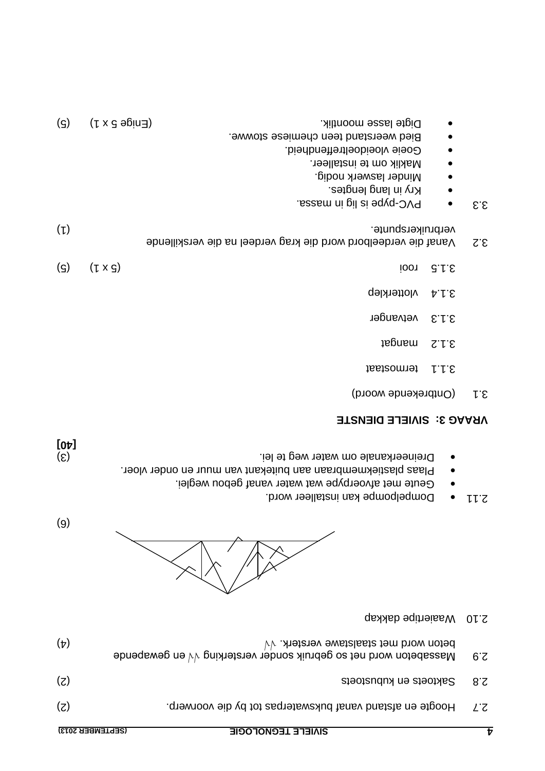| (SEPIEMBER 2013) | <b>SINIEFE LEGNOFOGIE</b>                                                                                                         |     |
|------------------|-----------------------------------------------------------------------------------------------------------------------------------|-----|
| (5)              | Hoogte en afstand vanaf bukswaterpas tot by die voorwerp.                                                                         | 77. |
| (z)              | Saktoets en kubustoets                                                                                                            | 8.S |
| $(\nabla)$       | beton word met staalstawe versterk. $\forall$<br>Massabeton word net so gebruik sonder versterking $\forall \forall$ en gewapende | 6.5 |



- .brow readleer word.
- Geute met afvoerpype wat water vanaf gebou weglei.
- Plaas plastiekmembraan aan buitekant van muur en onder vloer.

 $(9)$ 

**[40]**

(3) Dreineerkanale om water weg te lei.

### **SIVIELE DIENSTE : 3 VRAAG**

3.1 (Ontbrekende woord)

2.10 Waaiertipe dakkap

- termostaat
- mangat 3.1.2
- vetvanger 3.1.3
- 3.1.4 vlotterklep
- (5) (5 x 1) rooi 3.1.5
- Vanaf die verdeelbord word die krag verdeel na die verskillende 3.2 (1) verbruikerspunte.
- $s.s.$   $\bullet$   $\bullet$  PVC-pype is lig in massa.
- Kry in lang lengtes.
- Minder laswerk nodig.
- om te installeer.
- e Goeie vloeidoeltreffendheid.
- · Bied weerstand teen chemiese stowwe.
- $\bullet$  Digte lasse moontlik.  $\bullet$  Digte lasse moontlik.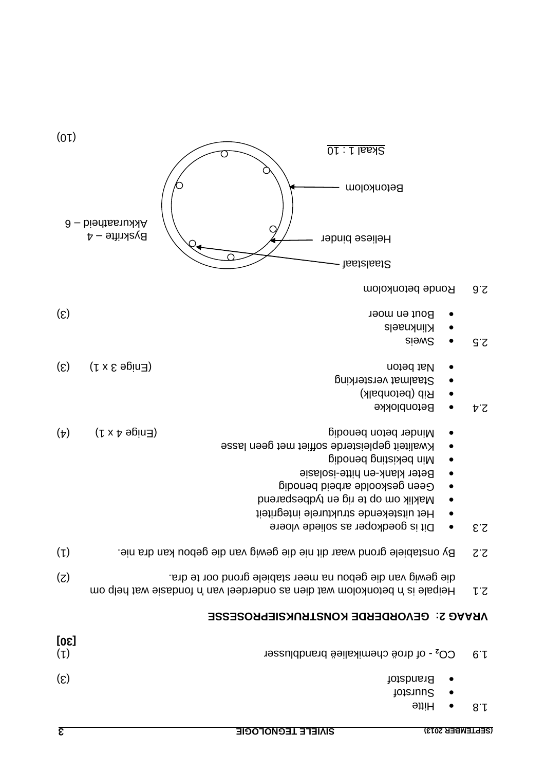| $\overline{\epsilon}$ |                                       | <b>SIVIELE TEGNOLOGIE</b><br>(SEPTEMBER 2013)                                                                                                                                                                   |       |
|-----------------------|---------------------------------------|-----------------------------------------------------------------------------------------------------------------------------------------------------------------------------------------------------------------|-------|
|                       |                                       | <b>Suurstof</b><br><b>Hitte</b>                                                                                                                                                                                 | 8.1   |
| $(\mathcal{S})$       |                                       | <b>Brandstof</b>                                                                                                                                                                                                |       |
| [30]<br>$(\iota)$     |                                       | CO <sub>2</sub> - of droë chemikalieë brandblusser                                                                                                                                                              | 6·    |
|                       |                                       | <b>VRAAG 2: GEVORDERDE KONSTRUKSIEPROSESSE</b>                                                                                                                                                                  |       |
| (5)                   |                                       | die gewig van die gebou na meer stabiele grond oor te dra.<br>Heipale is 'n betonkolom wat dien as onderdeel van 'n ondasie wat help om                                                                         | r.s   |
| $(\iota)$             |                                       | By onstabiele grond waar dit nie die gewig van die gebou kan dra nie.                                                                                                                                           | $Z^2$ |
|                       |                                       | Min bekisting benodig<br>Beter klank-en hitte-isolasie<br>Geen geskoolde arbeid benodig<br>Maklik om op te rig en tydbesparend<br>Het uitstekende strukturele integriteit<br>Dit is goedkoper as soliede vloere | 2.3   |
| $(\nabla)$            | $(5 \times 4 \text{ e}$ (Fnige 4 x 1) | Minder beton benodig<br>Kwaliteit gepleisterde soffiet met geen lasse                                                                                                                                           |       |
| $(\mathcal{S})$       | $(5 \times 5 \text{ e})$              | Nat beton<br>Staalmat versterking<br>Rib (betonbalk)<br><b>Betonblokke</b>                                                                                                                                      | Þ΄Z   |
| $(\mathcal{E})$       |                                       | Bout en moer<br>Klinknaels<br>SiewS                                                                                                                                                                             | G.S   |
|                       |                                       | Ronde betonkolom                                                                                                                                                                                                | 9.5   |
|                       | Byskrifte – 4                         | <b>Heliese binder</b><br>Staalstaaf                                                                                                                                                                             |       |
|                       | Akkuraatheid – 6                      |                                                                                                                                                                                                                 |       |

 $(01)$ 

O

Betonkolom -

Skaal 1 : 10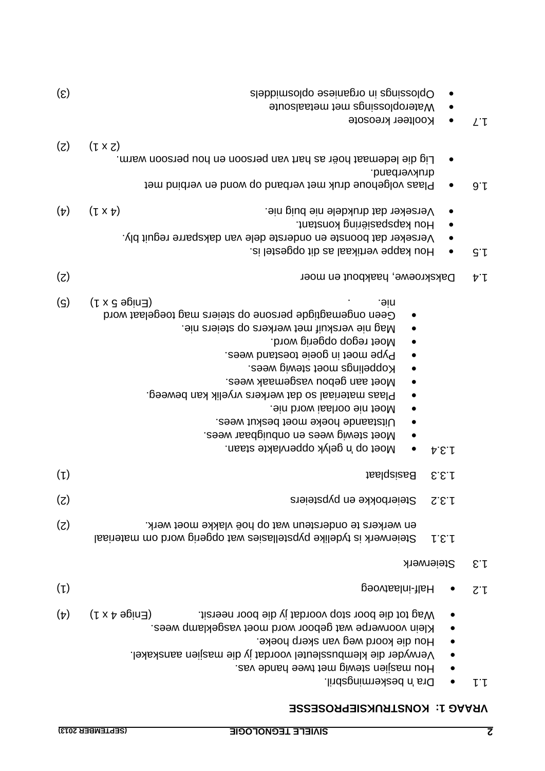#### **KONSTRUKSIEPROSESSE : 1 VRAAG**

| $\left( \mathcal{E}\right)$ | Oplosaings in organiese oplosnidels<br>Wateroplossings met metaalsoute                                                                                                                                                                                                                                                                                                                                                                                                                                  |                      |  |
|-----------------------------|---------------------------------------------------------------------------------------------------------------------------------------------------------------------------------------------------------------------------------------------------------------------------------------------------------------------------------------------------------------------------------------------------------------------------------------------------------------------------------------------------------|----------------------|--|
|                             | Koolteer kreosote                                                                                                                                                                                                                                                                                                                                                                                                                                                                                       | $L^{\cdot}$          |  |
| $(\zeta)$                   | $(L \times Z)$<br>Lig die ledemaat hoër as hart van persoon en hou persoon warm.<br>drukverband.<br>Plaas volgehoue druk met verband op wond en verbind met                                                                                                                                                                                                                                                                                                                                             | 9.1                  |  |
| $(\nabla)$                  | $(1 \times p)$<br>Verseker dat drukdele nie buig nie.<br>Hou kapspasiëring konstant.<br>Verseker dat boonste en onderste dele van daksparre reguit bly.<br>Hou kappe vertikaal as dit opgestel is.                                                                                                                                                                                                                                                                                                      | $G \cdot L$          |  |
| (Z)                         | Dakskroewe, haakbout en moer                                                                                                                                                                                                                                                                                                                                                                                                                                                                            | $\nabla \cdot L$     |  |
| (၁)                         | $(5 \times 3 \text{ eV})$<br><b>DIG.</b><br>Geen ongemagligde persone op steiers mag toegelaat word<br>Mag nie verskuif met werkers op steiers nie.<br>Moet regop opgerig word.<br>Pype moet in goeie toestand wees.<br>Koppelings moet stewig wees.<br>Moet aan gebou vasgemaak wees.<br>Plaas materiaal so dat werkers vryelik kan beweeg.<br>. High profissi word nie.<br>Uitstaande hoeke moet beskut wees.<br>Moet stewig wees en onbuigbaar wees.<br>Moet op 'n gelyk oppervlakte staan.<br>A.B.f |                      |  |
| $(\mathfrak{p})$            | <b>Basisplaat</b><br>E.E.f                                                                                                                                                                                                                                                                                                                                                                                                                                                                              |                      |  |
| (5)                         | Steierbokke en pypsteiers<br>S.E.I                                                                                                                                                                                                                                                                                                                                                                                                                                                                      |                      |  |
| (5)                         | en werkers te ondersteun wat op hoë vlakke moet werk.<br>Steierwerk is tydelike pypstellasies wat opgerig word om materiaal<br>1.5.1                                                                                                                                                                                                                                                                                                                                                                    |                      |  |
|                             | Steierwerk                                                                                                                                                                                                                                                                                                                                                                                                                                                                                              | $\epsilon$ . $\hbar$ |  |
| $(\mathfrak{t})$            | Half-inlaatvoeg                                                                                                                                                                                                                                                                                                                                                                                                                                                                                         | $Z^{\cdot}$          |  |
| $(\nabla)$                  | $(5 \times 4 \text{ e}$ (Fnige 4 x 1)<br>Wag tot die boor stop voordat jy die boor neersit.<br>Klein voorwerpe wat geboor word moet vasgeklamp wees.<br>Hou die koord weg van skerp hoeke.<br>Verwyder die klembussleutel voordat jy die masjien aanskakel.<br>Hou masjien stewig met twee hande vas.<br>Dra 'n beskermingsbril.                                                                                                                                                                        |                      |  |